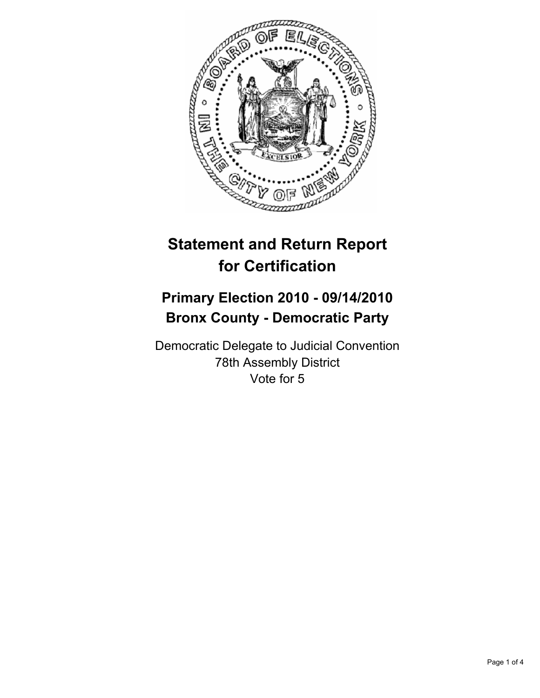

# **Statement and Return Report for Certification**

## **Primary Election 2010 - 09/14/2010 Bronx County - Democratic Party**

Democratic Delegate to Judicial Convention 78th Assembly District Vote for 5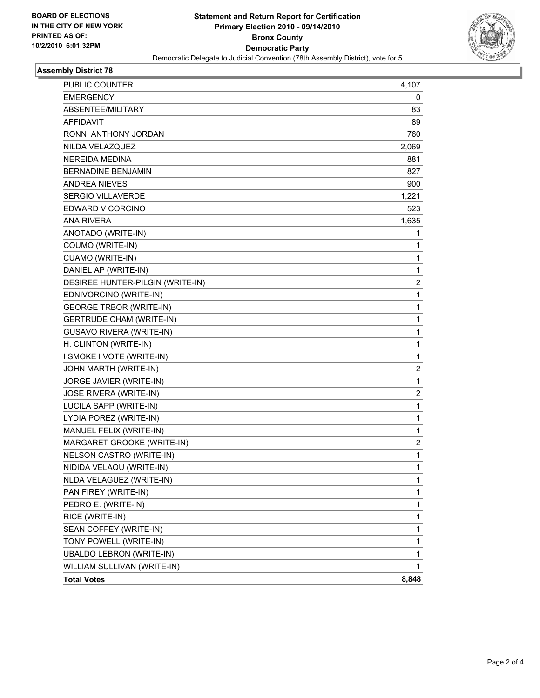

### **Assembly District 78**

| <b>PUBLIC COUNTER</b>            | 4,107        |
|----------------------------------|--------------|
| <b>EMERGENCY</b>                 | 0            |
| ABSENTEE/MILITARY                | 83           |
| AFFIDAVIT                        | 89           |
| RONN ANTHONY JORDAN              | 760          |
| NILDA VELAZQUEZ                  | 2,069        |
| <b>NEREIDA MEDINA</b>            | 881          |
| <b>BERNADINE BENJAMIN</b>        | 827          |
| <b>ANDREA NIEVES</b>             | 900          |
| <b>SERGIO VILLAVERDE</b>         | 1,221        |
| EDWARD V CORCINO                 | 523          |
| <b>ANA RIVERA</b>                | 1,635        |
| ANOTADO (WRITE-IN)               | 1            |
| COUMO (WRITE-IN)                 | $\mathbf{1}$ |
| CUAMO (WRITE-IN)                 | 1            |
| DANIEL AP (WRITE-IN)             | 1            |
| DESIREE HUNTER-PILGIN (WRITE-IN) | 2            |
| EDNIVORCINO (WRITE-IN)           | 1            |
| <b>GEORGE TRBOR (WRITE-IN)</b>   | 1            |
| <b>GERTRUDE CHAM (WRITE-IN)</b>  | 1            |
| <b>GUSAVO RIVERA (WRITE-IN)</b>  | 1            |
| H. CLINTON (WRITE-IN)            | 1            |
| I SMOKE I VOTE (WRITE-IN)        | $\mathbf{1}$ |
| JOHN MARTH (WRITE-IN)            | 2            |
| JORGE JAVIER (WRITE-IN)          | 1            |
| JOSE RIVERA (WRITE-IN)           | 2            |
| LUCILA SAPP (WRITE-IN)           | 1            |
| LYDIA POREZ (WRITE-IN)           | 1            |
| MANUEL FELIX (WRITE-IN)          | $\mathbf{1}$ |
| MARGARET GROOKE (WRITE-IN)       | 2            |
| NELSON CASTRO (WRITE-IN)         | 1            |
| NIDIDA VELAQU (WRITE-IN)         | $\mathbf{1}$ |
| NLDA VELAGUEZ (WRITE-IN)         | 1            |
| PAN FIREY (WRITE-IN)             | 1            |
| PEDRO E. (WRITE-IN)              | 1            |
| RICE (WRITE-IN)                  | 1            |
| SEAN COFFEY (WRITE-IN)           | 1            |
| TONY POWELL (WRITE-IN)           | 1            |
| <b>UBALDO LEBRON (WRITE-IN)</b>  | 1            |
| WILLIAM SULLIVAN (WRITE-IN)      | 1            |
| <b>Total Votes</b>               | 8,848        |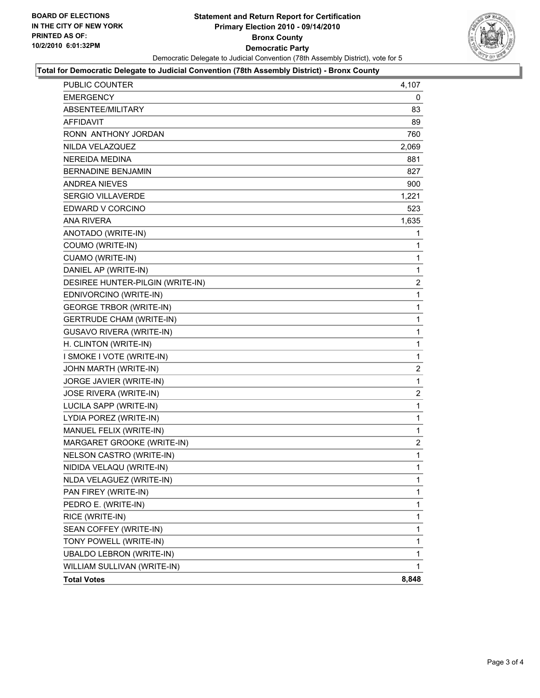

#### **Total for Democratic Delegate to Judicial Convention (78th Assembly District) - Bronx County**

| PUBLIC COUNTER                   | 4,107                   |
|----------------------------------|-------------------------|
| <b>EMERGENCY</b>                 | 0                       |
| ABSENTEE/MILITARY                | 83                      |
| <b>AFFIDAVIT</b>                 | 89                      |
| RONN ANTHONY JORDAN              | 760                     |
| NILDA VELAZQUEZ                  | 2,069                   |
| <b>NEREIDA MEDINA</b>            | 881                     |
| <b>BERNADINE BENJAMIN</b>        | 827                     |
| <b>ANDREA NIEVES</b>             | 900                     |
| <b>SERGIO VILLAVERDE</b>         | 1,221                   |
| EDWARD V CORCINO                 | 523                     |
| <b>ANA RIVERA</b>                | 1,635                   |
| ANOTADO (WRITE-IN)               | 1                       |
| COUMO (WRITE-IN)                 | 1                       |
| CUAMO (WRITE-IN)                 | 1                       |
| DANIEL AP (WRITE-IN)             | 1                       |
| DESIREE HUNTER-PILGIN (WRITE-IN) | 2                       |
| EDNIVORCINO (WRITE-IN)           | 1                       |
| <b>GEORGE TRBOR (WRITE-IN)</b>   | 1                       |
| <b>GERTRUDE CHAM (WRITE-IN)</b>  | 1                       |
| <b>GUSAVO RIVERA (WRITE-IN)</b>  | 1                       |
| H. CLINTON (WRITE-IN)            | 1                       |
| I SMOKE I VOTE (WRITE-IN)        | $\mathbf{1}$            |
| JOHN MARTH (WRITE-IN)            | $\overline{c}$          |
| JORGE JAVIER (WRITE-IN)          | 1                       |
| JOSE RIVERA (WRITE-IN)           | 2                       |
| LUCILA SAPP (WRITE-IN)           | 1                       |
| LYDIA POREZ (WRITE-IN)           | 1                       |
| MANUEL FELIX (WRITE-IN)          | 1                       |
| MARGARET GROOKE (WRITE-IN)       | $\overline{\mathbf{c}}$ |
| NELSON CASTRO (WRITE-IN)         | 1                       |
| NIDIDA VELAQU (WRITE-IN)         | $\mathbf 1$             |
| NLDA VELAGUEZ (WRITE-IN)         | 1                       |
| PAN FIREY (WRITE-IN)             | $\mathbf 1$             |
| PEDRO E. (WRITE-IN)              | 1                       |
| RICE (WRITE-IN)                  | 1                       |
| SEAN COFFEY (WRITE-IN)           | 1                       |
| TONY POWELL (WRITE-IN)           | 1                       |
| <b>UBALDO LEBRON (WRITE-IN)</b>  | 1                       |
| WILLIAM SULLIVAN (WRITE-IN)      | 1                       |
| <b>Total Votes</b>               | 8,848                   |
|                                  |                         |